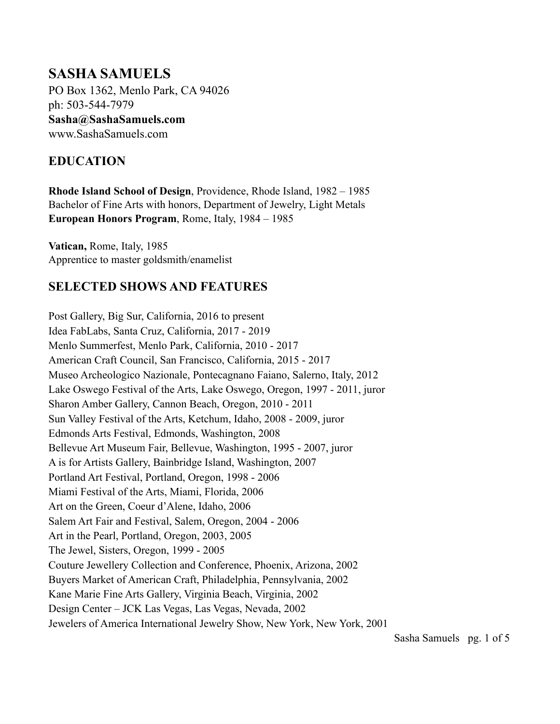# **SASHA SAMUELS**

PO Box 1362, Menlo Park, CA 94026 ph: 503-544-7979 **Sasha@SashaSamuels.com**  www.SashaSamuels.com

## **EDUCATION**

**Rhode Island School of Design**, Providence, Rhode Island, 1982 – 1985 Bachelor of Fine Arts with honors, Department of Jewelry, Light Metals **European Honors Program**, Rome, Italy, 1984 – 1985

**Vatican,** Rome, Italy, 1985 Apprentice to master goldsmith/enamelist

#### **SELECTED SHOWS AND FEATURES**

Post Gallery, Big Sur, California, 2016 to present Idea FabLabs, Santa Cruz, California, 2017 - 2019 Menlo Summerfest, Menlo Park, California, 2010 - 2017 American Craft Council, San Francisco, California, 2015 - 2017 Museo Archeologico Nazionale, Pontecagnano Faiano, Salerno, Italy, 2012 Lake Oswego Festival of the Arts, Lake Oswego, Oregon, 1997 - 2011, juror Sharon Amber Gallery, Cannon Beach, Oregon, 2010 - 2011 Sun Valley Festival of the Arts, Ketchum, Idaho, 2008 - 2009, juror Edmonds Arts Festival, Edmonds, Washington, 2008 Bellevue Art Museum Fair, Bellevue, Washington, 1995 - 2007, juror A is for Artists Gallery, Bainbridge Island, Washington, 2007 Portland Art Festival, Portland, Oregon, 1998 - 2006 Miami Festival of the Arts, Miami, Florida, 2006 Art on the Green, Coeur d'Alene, Idaho, 2006 Salem Art Fair and Festival, Salem, Oregon, 2004 - 2006 Art in the Pearl, Portland, Oregon, 2003, 2005 The Jewel, Sisters, Oregon, 1999 - 2005 Couture Jewellery Collection and Conference, Phoenix, Arizona, 2002 Buyers Market of American Craft, Philadelphia, Pennsylvania, 2002 Kane Marie Fine Arts Gallery, Virginia Beach, Virginia, 2002 Design Center – JCK Las Vegas, Las Vegas, Nevada, 2002 Jewelers of America International Jewelry Show, New York, New York, 2001

Sasha Samuels pg. 1 of 5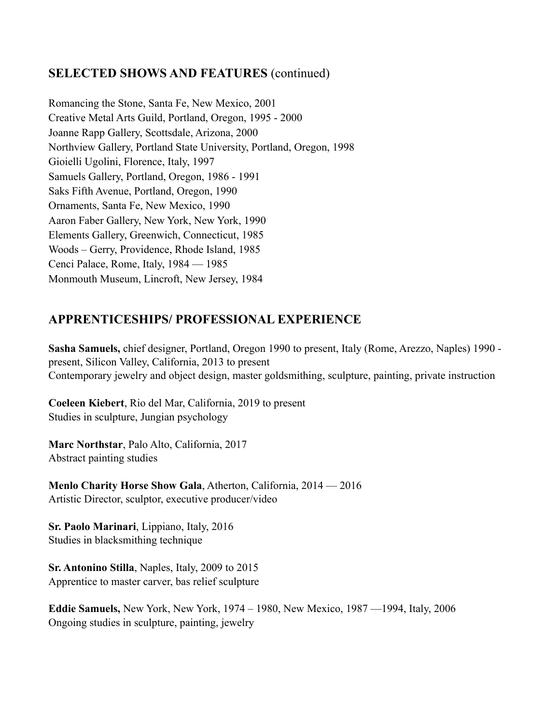#### **SELECTED SHOWS AND FEATURES** (continued)

Romancing the Stone, Santa Fe, New Mexico, 2001 Creative Metal Arts Guild, Portland, Oregon, 1995 - 2000 Joanne Rapp Gallery, Scottsdale, Arizona, 2000 Northview Gallery, Portland State University, Portland, Oregon, 1998 Gioielli Ugolini, Florence, Italy, 1997 Samuels Gallery, Portland, Oregon, 1986 - 1991 Saks Fifth Avenue, Portland, Oregon, 1990 Ornaments, Santa Fe, New Mexico, 1990 Aaron Faber Gallery, New York, New York, 1990 Elements Gallery, Greenwich, Connecticut, 1985 Woods – Gerry, Providence, Rhode Island, 1985 Cenci Palace, Rome, Italy, 1984 — 1985 Monmouth Museum, Lincroft, New Jersey, 1984

## **APPRENTICESHIPS/ PROFESSIONAL EXPERIENCE**

**Sasha Samuels,** chief designer, Portland, Oregon 1990 to present, Italy (Rome, Arezzo, Naples) 1990 present, Silicon Valley, California, 2013 to present Contemporary jewelry and object design, master goldsmithing, sculpture, painting, private instruction

**Coeleen Kiebert**, Rio del Mar, California, 2019 to present Studies in sculpture, Jungian psychology

**Marc Northstar**, Palo Alto, California, 2017 Abstract painting studies

**Menlo Charity Horse Show Gala**, Atherton, California, 2014 — 2016 Artistic Director, sculptor, executive producer/video

**Sr. Paolo Marinari**, Lippiano, Italy, 2016 Studies in blacksmithing technique

**Sr. Antonino Stilla**, Naples, Italy, 2009 to 2015 Apprentice to master carver, bas relief sculpture

**Eddie Samuels,** New York, New York, 1974 – 1980, New Mexico, 1987 —1994, Italy, 2006 Ongoing studies in sculpture, painting, jewelry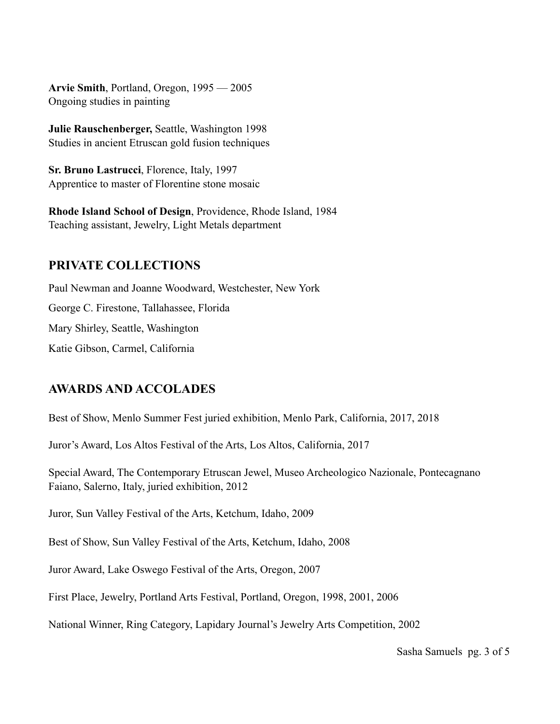**Arvie Smith**, Portland, Oregon, 1995 — 2005 Ongoing studies in painting

**Julie Rauschenberger,** Seattle, Washington 1998 Studies in ancient Etruscan gold fusion techniques

**Sr. Bruno Lastrucci**, Florence, Italy, 1997 Apprentice to master of Florentine stone mosaic

**Rhode Island School of Design**, Providence, Rhode Island, 1984 Teaching assistant, Jewelry, Light Metals department

#### **PRIVATE COLLECTIONS**

Paul Newman and Joanne Woodward, Westchester, New York George C. Firestone, Tallahassee, Florida Mary Shirley, Seattle, Washington Katie Gibson, Carmel, California

#### **AWARDS AND ACCOLADES**

Best of Show, Menlo Summer Fest juried exhibition, Menlo Park, California, 2017, 2018

Juror's Award, Los Altos Festival of the Arts, Los Altos, California, 2017

Special Award, The Contemporary Etruscan Jewel, Museo Archeologico Nazionale, Pontecagnano Faiano, Salerno, Italy, juried exhibition, 2012

Juror, Sun Valley Festival of the Arts, Ketchum, Idaho, 2009

Best of Show, Sun Valley Festival of the Arts, Ketchum, Idaho, 2008

Juror Award, Lake Oswego Festival of the Arts, Oregon, 2007

First Place, Jewelry, Portland Arts Festival, Portland, Oregon, 1998, 2001, 2006

National Winner, Ring Category, Lapidary Journal's Jewelry Arts Competition, 2002

Sasha Samuelspg. 3 of 5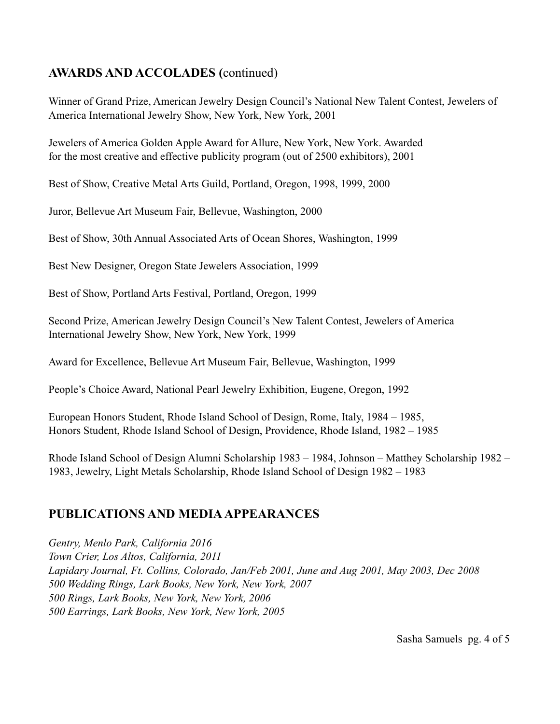# **AWARDS AND ACCOLADES (**continued)

Winner of Grand Prize, American Jewelry Design Council's National New Talent Contest, Jewelers of America International Jewelry Show, New York, New York, 2001

Jewelers of America Golden Apple Award for Allure, New York, New York. Awarded for the most creative and effective publicity program (out of 2500 exhibitors), 2001

Best of Show, Creative Metal Arts Guild, Portland, Oregon, 1998, 1999, 2000

Juror, Bellevue Art Museum Fair, Bellevue, Washington, 2000

Best of Show, 30th Annual Associated Arts of Ocean Shores, Washington, 1999

Best New Designer, Oregon State Jewelers Association, 1999

Best of Show, Portland Arts Festival, Portland, Oregon, 1999

Second Prize, American Jewelry Design Council's New Talent Contest, Jewelers of America International Jewelry Show, New York, New York, 1999

Award for Excellence, Bellevue Art Museum Fair, Bellevue, Washington, 1999

People's Choice Award, National Pearl Jewelry Exhibition, Eugene, Oregon, 1992

European Honors Student, Rhode Island School of Design, Rome, Italy, 1984 – 1985, Honors Student, Rhode Island School of Design, Providence, Rhode Island, 1982 – 1985

Rhode Island School of Design Alumni Scholarship 1983 – 1984, Johnson – Matthey Scholarship 1982 – 1983, Jewelry, Light Metals Scholarship, Rhode Island School of Design 1982 – 1983

# **PUBLICATIONS AND MEDIA APPEARANCES**

*Gentry, Menlo Park, California 2016 Town Crier, Los Altos, California, 2011 Lapidary Journal, Ft. Collins, Colorado, Jan/Feb 2001, June and Aug 2001, May 2003, Dec 2008 500 Wedding Rings, Lark Books, New York, New York, 2007 500 Rings, Lark Books, New York, New York, 2006 500 Earrings, Lark Books, New York, New York, 2005* 

Sasha Samuelspg. 4 of 5